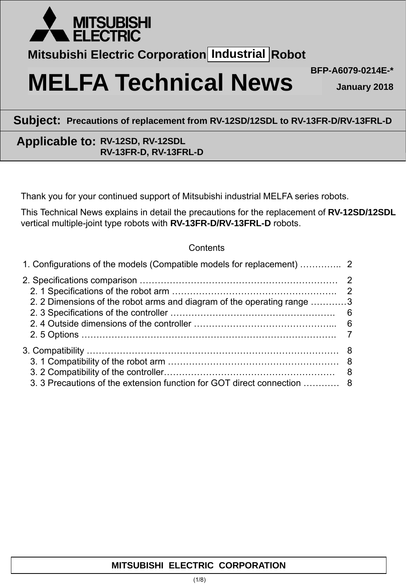

**Mitsubishi Electric Corporation Industrial Robot** 

# **MELFA Technical News** BFP-A6079-0214E-\*

**January 2018**

**Subject: Precautions of replacement from RV-12SD/12SDL to RV-13FR-D/RV-13FRL-D**

# **Applicable to: RV-12SD, RV-12SDL RV-13FR-D, RV-13FRL-D**

Thank you for your continued support of Mitsubishi industrial MELFA series robots.

This Technical News explains in detail the precautions for the replacement of **RV-12SD/12SDL** vertical multiple-joint type robots with **RV-13FR-D/RV-13FRL-D** robots.

## **Contents**

| 2. 2 Dimensions of the robot arms and diagram of the operating range 3  |  |
|-------------------------------------------------------------------------|--|
| 3. 3 Precautions of the extension function for GOT direct connection  8 |  |

## **MITSUBISHI ELECTRIC CORPORATION**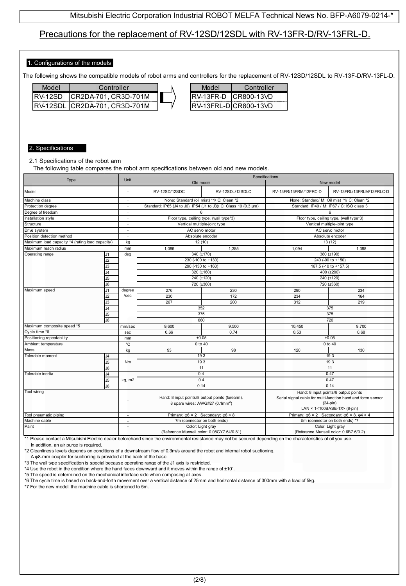## Precautions for the replacement of RV-12SD/12SDL with RV-13FR-D/RV-13FRL-D.

#### 1. Configurations of the models

The following shows the compatible models of robot arms and controllers for the replacement of RV-12SD/12SDL to RV-13F-D/RV-13FL-D.

| lahoM          | Controller              |  |
|----------------|-------------------------|--|
| <b>RV-12SD</b> | ICR2DA-701, CR3D-701M   |  |
| RV-12SDL       | . ICR2DA-701. CR3D-701M |  |

| Model | Controller                   |
|-------|------------------------------|
|       | <b>RV-13FR-D ICR800-13VD</b> |
|       | IRV-13FRL-DICR800-13VD       |

#### 2. Specifications

2.1 Specifications of the robot arm

The following table compares the robot arm specifications between old and new models.

| Type                                            | Unit           | Specifications           |                                                 |                                                                  |                                        |                                                                      |
|-------------------------------------------------|----------------|--------------------------|-------------------------------------------------|------------------------------------------------------------------|----------------------------------------|----------------------------------------------------------------------|
|                                                 |                |                          | Old model                                       |                                                                  | New model                              |                                                                      |
| Model                                           |                | ÷,                       | <b>RV-12SD/12SDC</b>                            | RV-12SDL/12SDLC                                                  | RV-13FR/13FRM/13FRC-D                  | RV-13FRL/13FRLM/13FRLC-D                                             |
| Machine class                                   |                | $\overline{a}$           |                                                 | None: Standard (oil mist) *1/ C: Clean *2                        |                                        | None: Standard/ M: Oil mist *1/ C: Clean *2                          |
| Protection degree                               |                | ä,                       |                                                 | Standard: IP65 (J4 to J6), IP54 (J1 to J3)/ C: Class 10 (0.3 µm) |                                        | Standard: IP40 / M: IP67 / C: ISO class 3                            |
| Degree of freedom                               |                | ä,                       |                                                 | ĥ.                                                               |                                        | 6                                                                    |
| Installation style                              |                | $\sim$                   |                                                 | Floor type, ceiling type, (wall type*3)                          |                                        | Floor type, ceiling type, (wall type*3)                              |
| Structure                                       |                | ÷,                       |                                                 | Vertical multiple-joint type                                     |                                        | Vertical multiple-joint type                                         |
| Drive system                                    |                | ٠                        | AC servo motor                                  |                                                                  |                                        | AC servo motor                                                       |
| Position detection method                       |                | $\sim$                   |                                                 | Absolute encoder                                                 |                                        | Absolute encoder                                                     |
| Maximum load capacity *4 (rating load capacity) |                | kg                       |                                                 | 12(10)                                                           |                                        | 13 (12)                                                              |
| Maximum reach radius                            |                | mm                       | 1.086                                           | 1.385                                                            | 1.094                                  | 1.388                                                                |
| Operating range                                 | J1             | deg                      |                                                 | 340 (±170)                                                       |                                        | 380 (±190)                                                           |
|                                                 | J2             |                          |                                                 | 230 (-100 to +130)                                               |                                        | 240 (-90 to +150)                                                    |
|                                                 | J3             |                          |                                                 | 290 (-130 to +160)                                               |                                        | 167.5 (-10 to +157.5)                                                |
|                                                 | J4             |                          |                                                 | 320 (±160)                                                       |                                        | 400 (±200)                                                           |
|                                                 | J5             |                          |                                                 | 240 (±120)                                                       |                                        | 240 (±120)                                                           |
|                                                 | J6             |                          |                                                 | 720 (±360)                                                       |                                        | 720 (±360)                                                           |
| Maximum speed                                   | J1             | degree                   | 276                                             | 230                                                              | 290                                    | 234                                                                  |
|                                                 | J2             | /sec                     | 230                                             | 172                                                              | 234                                    | 164                                                                  |
|                                                 | J3             |                          | 267                                             | 200                                                              | 312                                    | 219                                                                  |
| J4<br>J5                                        |                |                          | 352                                             |                                                                  | 375                                    |                                                                      |
|                                                 |                |                          | 375                                             |                                                                  | 375                                    |                                                                      |
|                                                 | J6             |                          |                                                 | 660                                                              |                                        | 720                                                                  |
| Maximum composite speed *5                      |                | mm/sec                   | 9.600                                           | 9.500                                                            | 10,450<br>9.700                        |                                                                      |
|                                                 |                | sec                      | 0.66                                            | 0.74                                                             | 0.53<br>0.68                           |                                                                      |
| Cycle time *6<br>Positioning repeatability      |                | mm                       |                                                 | ±0.05                                                            | ±0.05                                  |                                                                      |
| Ambient temperature                             |                | °C                       | 0 to 40                                         |                                                                  |                                        | 0 to 40                                                              |
| Mass                                            |                | kg                       | 93                                              | 98                                                               | 120                                    | 130                                                                  |
| Tolerable moment                                | J4             |                          | 19.3                                            |                                                                  | 19.3                                   |                                                                      |
|                                                 | J <sub>5</sub> | N <sub>m</sub>           | 19.3                                            |                                                                  | 19.3                                   |                                                                      |
|                                                 | J6             |                          |                                                 | 11                                                               |                                        | 11                                                                   |
| Tolerable inertia                               | J <sub>4</sub> |                          |                                                 | 0.4                                                              |                                        | 0.47                                                                 |
|                                                 | J5             | kg, m2                   |                                                 | 0.4                                                              | 0.47                                   |                                                                      |
| J6                                              |                |                          | 0.14                                            |                                                                  | 0.14                                   |                                                                      |
| Tool wiring                                     |                |                          |                                                 |                                                                  |                                        | Hand: 8 input points/8 output points                                 |
|                                                 |                | ٠                        | Hand: 8 input points/8 output points (forearm), |                                                                  |                                        | Serial signal cable for multi-function hand and force sensor         |
|                                                 |                |                          | 8 spare wires: AWG#27 (0.1mm <sup>2</sup> )     |                                                                  |                                        | $(24-pin)$                                                           |
|                                                 |                |                          |                                                 |                                                                  |                                        | LAN × 1<100BASE-TX> (8-pin)                                          |
| Tool pneumatic piping                           |                | $\overline{\phantom{a}}$ |                                                 | Primary: $\varphi$ 6 × 2 Secondary: $\varphi$ 6 × 8              |                                        | Primary: $\varphi$ 6 × 2 Secondary: $\varphi$ 6 × 8, $\varphi$ 4 × 4 |
| Machine cable                                   |                | $\overline{\phantom{a}}$ |                                                 | 7m (connector on both ends)                                      |                                        | 5m (connector on both ends) *7                                       |
| Paint                                           |                | ٠                        |                                                 | Color: Light gray                                                |                                        | Color: Light gray                                                    |
|                                                 |                |                          |                                                 | (Reference Munsell color: 0.08GY7.64/0.81)                       | (Reference Munsell color: 0.6B7.6/0.2) |                                                                      |

\*1 Please contact a Mitsubishi Electric dealer beforehand since the environmental resistance may not be secured depending on the characteristics of oil you use.

In addition, an air purge is required.

\*2 Cleanliness levels depends on conditions of a downstream flow of 0.3m/s around the robot and internal robot suctioning.

A φ8-mm coupler for suctioning is provided at the back of the base.

\*3 The wall type specification is special because operating range of the J1 axis is restricted.

\*4 Use the robot in the condition where the hand faces downward and it moves within the range of ±10˚.

\*5 The speed is determined on the mechanical interface side when composing all axes.

\*6 The cycle time is based on back-and-forth movement over a vertical distance of 25mm and horizontal distance of 300mm with a load of 5kg.

\*7 For the new model, the machine cable is shortened to 5m.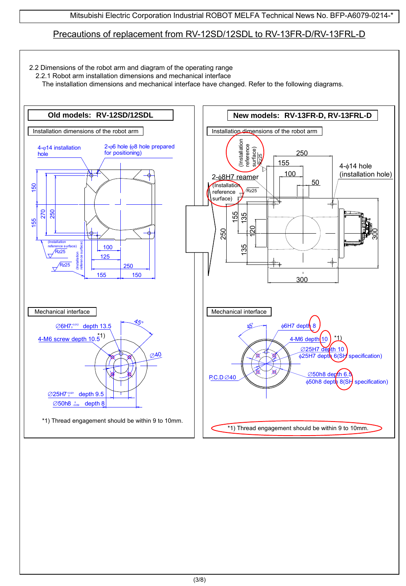# Precautions of replacement from RV-12SD/12SDL to RV-13FR-D/RV-13FRL-D

- 2.2 Dimensions of the robot arm and diagram of the operating range
	- 2.2.1 Robot arm installation dimensions and mechanical interface

The installation dimensions and mechanical interface have changed. Refer to the following diagrams.

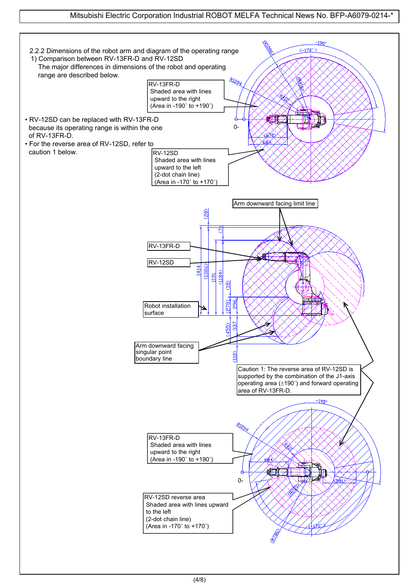## Mitsubishi Electric Corporation Industrial ROBOT MELFA Technical News No. BFP-A6079-0214-\*

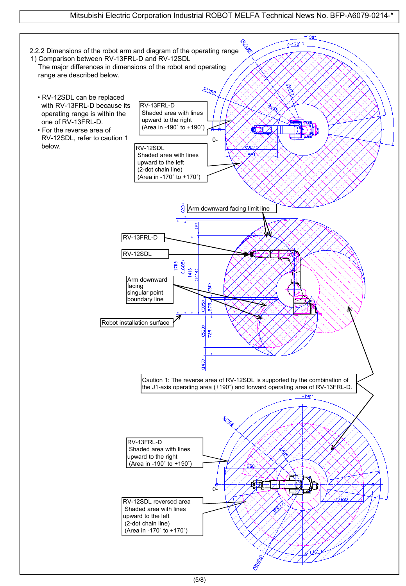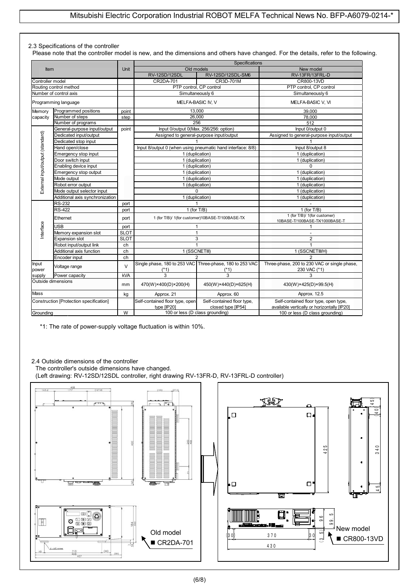#### 2.3 Specifications of the controller

Please note that the controller model is new, and the dimensions and others have changed. For the details, refer to the following.

|                                  |                                         |             | Specifications                                 |                                                                    |                                                                                      |  |
|----------------------------------|-----------------------------------------|-------------|------------------------------------------------|--------------------------------------------------------------------|--------------------------------------------------------------------------------------|--|
| Item                             |                                         | Unit        | Old models                                     |                                                                    | New model                                                                            |  |
|                                  |                                         |             | RV-12SD/12SDL                                  | RV-12SD/12SDL-SM6                                                  | RV-13FR/13FRL-D                                                                      |  |
| Controller model                 |                                         |             | CR2DA-701                                      | CR3D-701M                                                          | CR800-13VD                                                                           |  |
|                                  | Routing control method                  |             | PTP control, CP control                        |                                                                    | PTP control. CP control                                                              |  |
|                                  | Number of control axis                  |             |                                                | Simultaneously 6                                                   | Simultaneously 6                                                                     |  |
|                                  | Programming language                    |             | MELFA-BASIC IV, V                              |                                                                    | MELFA-BASIC V, VI                                                                    |  |
| Memory                           | Programmed positions                    | point       |                                                | 13,000                                                             | 39,000                                                                               |  |
| capacity                         | Number of steps                         | step        |                                                | 26,000                                                             | 78,000                                                                               |  |
|                                  | Number of programs                      |             |                                                | 256                                                                | 512                                                                                  |  |
|                                  | General-purpose input/output            | point       |                                                | Input 0/output 0(Max. 256/256: option)                             | Input 0/output 0                                                                     |  |
|                                  | Dedicated input/output                  |             |                                                | Assigned to general-purpose input/output                           | Assigned to general-purpose input/output                                             |  |
|                                  | Dedicated stop input                    |             |                                                |                                                                    |                                                                                      |  |
|                                  | Hand open/close                         |             |                                                | Input 8/output 0 (when using pneumatic hand interface: 8/8)        | Input 8/output 8                                                                     |  |
|                                  | Emergency stop input                    |             |                                                | 1 (duplication)                                                    | 1 (duplication)                                                                      |  |
|                                  | Door switch input                       |             |                                                | 1 (duplication)                                                    | 1 (duplication)                                                                      |  |
|                                  | Enabling device input                   |             |                                                | 1 (duplication)                                                    | 0                                                                                    |  |
|                                  | Emergency stop output                   |             |                                                | 1 (duplication)                                                    | 1 (duplication)                                                                      |  |
|                                  | Mode output                             |             |                                                | 1 (duplication)                                                    | 1 (duplication)                                                                      |  |
|                                  | Robot error output                      |             |                                                | 1 (duplication)                                                    | $\overline{1}$ (duplication)                                                         |  |
| External input/output (standard) | Mode output selector input              |             | $\Omega$                                       |                                                                    | 1 (duplication)                                                                      |  |
|                                  | Additional axis synchronization         |             |                                                | 1 (duplication)                                                    | 1 (duplication)                                                                      |  |
|                                  | <b>RS-232</b>                           | port        |                                                | 1                                                                  |                                                                                      |  |
|                                  | <b>RS-422</b>                           | port        | 1 (for $T/B$ )                                 |                                                                    | $\overline{1}$ (for T/B)                                                             |  |
|                                  | Ethernet                                | port        |                                                | 1 (for T/B)/ 1(for customer)10BASE-T/100BASE-TX                    | 1 (for T/B)/ 1(for customer)<br>10BASE-T/100BASE-TX/1000BASE-T                       |  |
| nterface                         | <b>USB</b>                              | port        |                                                | 1                                                                  | 1                                                                                    |  |
|                                  | Memory expansion slot                   | <b>SLOT</b> |                                                | $\mathbf{1}$                                                       | $\sim$                                                                               |  |
|                                  | <b>Expansion slot</b>                   | <b>SLOT</b> |                                                | 3                                                                  | $\overline{2}$                                                                       |  |
|                                  | Robot input/output link                 | ch          |                                                | $\mathbf{1}$                                                       |                                                                                      |  |
|                                  | Additional axis function                | ch          |                                                | 1 (SSCNETIII)                                                      | 1 (SSCNETIIVH)                                                                       |  |
|                                  | Encoder input                           | ch          |                                                | 2                                                                  | $\overline{2}$                                                                       |  |
| Input<br>power                   | Voltage range                           | $\vee$      | $(*1)$                                         | Single phase, 180 to 253 VAC Three-phase, 180 to 253 VAC<br>$(*1)$ | Three-phase, 200 to 230 VAC or single phase,<br>230 VAC (*1)                         |  |
| supply                           | Power capacity                          | <b>kVA</b>  | 3                                              | 3                                                                  | 3                                                                                    |  |
|                                  | Outside dimensions                      | mm          | 470(W)×400(D)×200(H)                           | 450(W)×440(D)×625(H)                                               | 430(W)×425(D)×99.5(H)                                                                |  |
| <b>Mass</b>                      |                                         | kg          | Approx. 21                                     | Approx. 60                                                         | Approx. 12.5                                                                         |  |
|                                  | Construction [Protection specification] |             | Self-contained floor type, open<br>type [IP20] | Self-contained floor type,<br>closed type [IP54]                   | Self-contained floor type, open type,<br>available vertically or horizontally [IP20] |  |
| Grounding                        |                                         | W           | 100 or less (D class grounding)                |                                                                    | 100 or less (D class grounding)                                                      |  |

\*1: The rate of power-supply voltage fluctuation is within 10%.

#### 2.4 Outside dimensions of the controller

The controller's outside dimensions have changed. (Left drawing: RV-12SD/12SDL controller, right drawing RV-13FR-D, RV-13FRL-D controller)

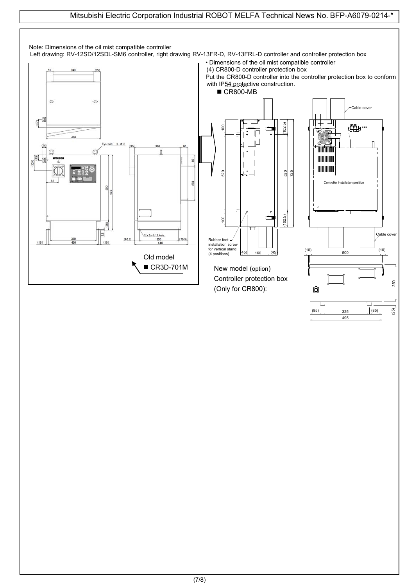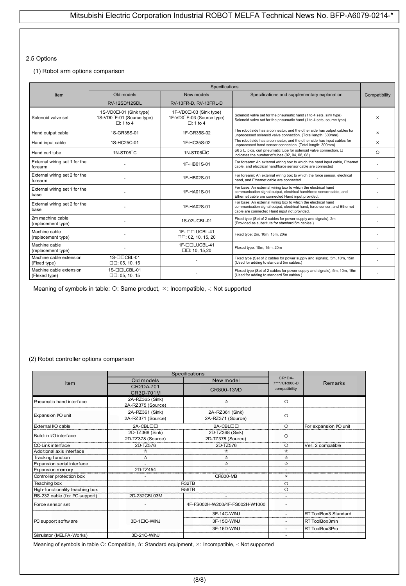#### 2.5 Options

#### (1) Robot arm options comparison

|                                          | Specifications                                                         |                                                                        |                                                                                                                                                                                            |               |  |
|------------------------------------------|------------------------------------------------------------------------|------------------------------------------------------------------------|--------------------------------------------------------------------------------------------------------------------------------------------------------------------------------------------|---------------|--|
| Item                                     | Old models                                                             | New models                                                             | Specifications and supplementary explanation                                                                                                                                               | Compatibility |  |
|                                          | RV-12SD/12SDL                                                          | RV-13FR-D, RV-13FRL-D                                                  |                                                                                                                                                                                            |               |  |
| Solenoid valve set                       | 1S-VD0□-01 (Sink type)<br>1S-VD0"E-01 (Source type)<br>$\Box$ : 1 to 4 | 1F-VD0□-03 (Sink type)<br>1F-VD0"E-03 (Source type)<br>$\Box$ : 1 to 4 | Solenoid valve set for the pneumatic hand (1 to 4 sets, sink type)<br>Solenoid valve set for the pneumatic hand (1 to 4 sets, source type)                                                 | $\times$      |  |
| Hand output cable                        | 1S-GR35S-01                                                            | 1F-GR35S-02                                                            | The robot side has a connector, and the other side has output cables for<br>unprocessed solenoid valve connection. (Total length: 300mm)                                                   | $\times$      |  |
| Hand input cable                         | 1S-HC25C-01                                                            | 1F-HC35S-02                                                            | The robot side has a connector, and the other side has input cables for<br>unprocessed hand sensor connection. (Total length: 300mm)                                                       | $\times$      |  |
| Hand curl tube                           | 1N-ST06"C                                                              | 1N-ST06□C                                                              | $\varphi$ 6 x $\Box$ pics, curl pneumatic tube for solenoid valve connection, $\Box$<br>indicates the number of tubes (02, 04, 06, 08)                                                     | $\circ$       |  |
| External wiring set 1 for the<br>forearm |                                                                        | 1F-HB01S-01                                                            | For forearm: An external wiring box to which the hand input cable, Ethernet<br>cable, and electrical hand/force sensor cable are connected                                                 |               |  |
| External wiring set 2 for the<br>forearm |                                                                        | 1F-HB02S-01                                                            | For forearm: An external wiring box to which the force sensor, electrical<br>hand, and Ethernet cable are connected                                                                        |               |  |
| External wiring set 1 for the<br>base    |                                                                        | 1F-HA01S-01                                                            | For base: An external wiring box to which the electrical hand<br>communication signal output, electrical hand/force sensor cable, and<br>Ethernet cable are connected Hand input provided. |               |  |
| External wiring set 2 for the<br>base    |                                                                        | 1F-HA02S-01                                                            | For base: An external wiring box to which the electrical hand<br>communication signal output, electrical hand, force sensor, and Ethernet<br>cable are connected Hand input not provided.  |               |  |
| 2m machine cable<br>(replacement type)   |                                                                        | 1S-02UCBL-01                                                           | Fixed type (Set of 2 cables for power supply and signals), 2m<br>(Provided as substitute for standard 5m cables.)                                                                          |               |  |
| Machine cable<br>(replacement type)      |                                                                        | 1F- 00 UCBL-41<br>$\Box$ $\Box$ : 02, 10, 15, 20                       | Fixed type: 2m, 10m, 15m. 20m                                                                                                                                                              |               |  |
| Machine cable<br>(replacement type)      |                                                                        | 1F-OOLUCBL-41<br>$\Box$ $\Box$ : 10, 15,20                             | Flexed type: 10m, 15m, 20m                                                                                                                                                                 |               |  |
| Machine cable extension<br>(Fixed type)  | 1S-CICBL-01<br>$\Box$ $\Box$ : 05, 10, 15                              |                                                                        | Fixed type (Set of 2 cables for power supply and signals), 5m, 10m, 15m<br>(Used for adding to standard 5m cables.)                                                                        |               |  |
| Machine cable extension<br>(Flexed type) | 1S-OOLCBL-01<br>$\Box$ $\Box$ : 05, 10, 15                             |                                                                        | Flexed type (Set of 2 cables for power supply and signals), 5m, 10m, 15m<br>(Used for adding to standard 5m cables.)                                                                       |               |  |

Meaning of symbols in table: O: Same product,  $\times$ : Incompatible, -: Not supported

#### (2) Robot controller options comparison

|                                 | Specifications                       |                                      |                                  |                        |
|---------------------------------|--------------------------------------|--------------------------------------|----------------------------------|------------------------|
| Item                            | Old models                           | New model                            | $CR*DA-$<br>7***/CR800-D         | <b>Remarks</b>         |
|                                 | CR2DA-701<br>CR3D-701M               | CR800-13VD                           | compatibility                    |                        |
| Pneumatic hand interface        | 2A-RZ365 (Sink)<br>2A-RZ375 (Source) | ☆                                    | $\circ$                          |                        |
| Expansion I/O unit              | 2A-RZ361 (Sink)<br>2A-RZ371 (Source) | 2A-RZ361 (Sink)<br>2A-RZ371 (Source) | $\circ$                          |                        |
| External I/O cable              | 2A-CBLOO                             | 2A-CBLOO                             | $\circ$                          | For expansion I/O unit |
| Build-in I/O interface          | 2D-TZ368 (Sink)<br>2D-TZ378 (Source) | 2D-TZ368 (Sink)<br>2D-TZ378 (Source) | O                                |                        |
| CC-Link interface               | 2D-TZ576                             | 2D-TZ576                             | $\circ$                          | Ver. 2 compatible      |
| Additional axis interface       | ☆                                    | ☆                                    | $\tau_{\mathbf{x}}^{\mathbf{A}}$ |                        |
| Tracking function               | ☆                                    | ☆                                    | $\vec{\mathbf{x}}$               |                        |
| Expansion serial interface      |                                      |                                      | $\vec{r}$                        |                        |
| Expansion memory                | 2D-TZ454                             |                                      | ٠                                |                        |
| Controller protection box       |                                      | <b>CR800-MB</b>                      | $\times$                         |                        |
| Teaching box                    |                                      | R32TB                                | $\circ$                          |                        |
| High-functionality teaching box |                                      | <b>R56TB</b>                         | $\circ$                          |                        |
| RS-232 cable (for PC support)   | 2D-232CBL03M                         |                                      |                                  |                        |
| Force sensor set                |                                      | 4F-FS002H-W200/4F-FS002H-W1000       |                                  |                        |
|                                 |                                      | 3F-14C-WINJ                          |                                  | RT ToolBox3 Standard   |
| PC support softw are            | 3D-1□C-WINJ                          | 3F-15C-WINJ                          |                                  | RT ToolBox3min         |
|                                 |                                      | 3F-16D-WINJ                          |                                  | RT ToolBox3Pro         |
| Simulator (MELFA-Works)         | 3D-21C-WINJ                          |                                      |                                  |                        |

Meaning of symbols in table O: Compatible,  $\dot{\pi}$ : Standard equipment,  $\times$ : Incompatible, -: Not supported